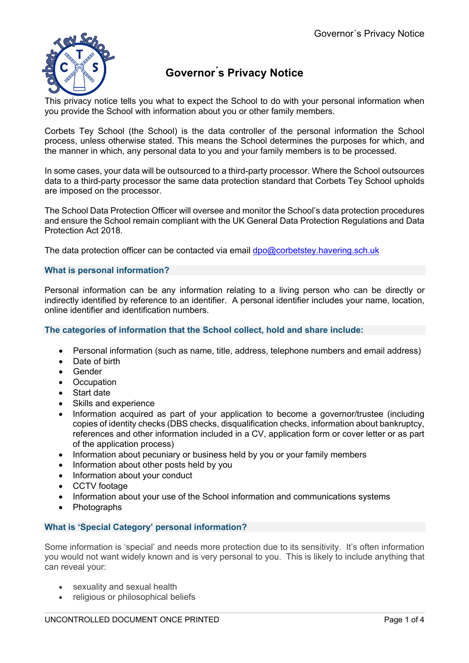

# **Governor ́s Privacy Notice**

This privacy notice tells you what to expect the School to do with your personal information when you provide the School with information about you or other family members.

Corbets Tey School (the School) is the data controller of the personal information the School process, unless otherwise stated. This means the School determines the purposes for which, and the manner in which, any personal data to you and your family members is to be processed.

In some cases, your data will be outsourced to a third-party processor. Where the School outsources data to a third-party processor the same data protection standard that Corbets Tey School upholds are imposed on the processor.

The School Data Protection Officer will oversee and monitor the School's data protection procedures and ensure the School remain compliant with the UK General Data Protection Regulations and Data Protection Act 2018.

The data protection officer can be contacted via email  $dpo@corbetstey.havering.sch.uk$ 

# **What is personal information?**

Personal information can be any information relating to a living person who can be directly or indirectly identified by reference to an identifier. A personal identifier includes your name, location, online identifier and identification numbers.

## **The categories of information that the School collect, hold and share include:**

- Personal information (such as name, title, address, telephone numbers and email address)
- Date of birth
- Gender
- Occupation
- Start date
- Skills and experience
- Information acquired as part of your application to become a governor/trustee (including copies of identity checks (DBS checks, disqualification checks, information about bankruptcy, references and other information included in a CV, application form or cover letter or as part of the application process)
- Information about pecuniary or business held by you or your family members
- Information about other posts held by you
- Information about your conduct
- CCTV footage
- Information about your use of the School information and communications systems
- Photographs

# **What is 'Special Category' personal information?**

Some information is 'special' and needs more protection due to its sensitivity. It's often information you would not want widely known and is very personal to you. This is likely to include anything that can reveal your:

- sexuality and sexual health
- religious or philosophical beliefs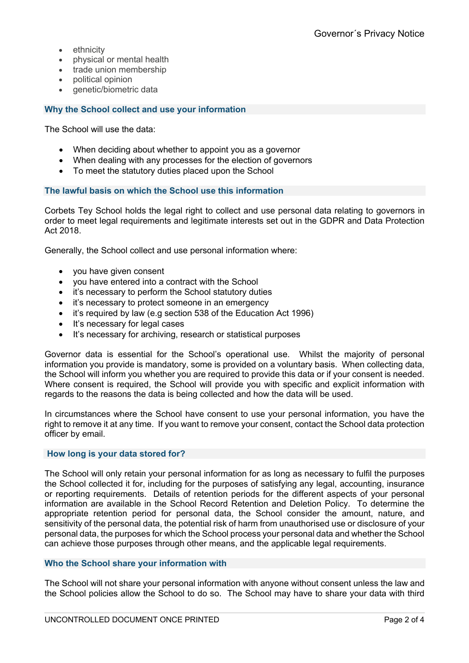- ethnicity
- physical or mental health
- trade union membership
- political opinion
- genetic/biometric data

# **Why the School collect and use your information**

The School will use the data:

- When deciding about whether to appoint you as a governor
- When dealing with any processes for the election of governors
- To meet the statutory duties placed upon the School

## **The lawful basis on which the School use this information**

Corbets Tey School holds the legal right to collect and use personal data relating to governors in order to meet legal requirements and legitimate interests set out in the GDPR and Data Protection Act 2018.

Generally, the School collect and use personal information where:

- you have given consent
- you have entered into a contract with the School
- it's necessary to perform the School statutory duties
- it's necessary to protect someone in an emergency
- it's required by law (e.g section 538 of the Education Act 1996)
- It's necessary for legal cases
- It's necessary for archiving, research or statistical purposes

Governor data is essential for the School's operational use. Whilst the majority of personal information you provide is mandatory, some is provided on a voluntary basis. When collecting data, the School will inform you whether you are required to provide this data or if your consent is needed. Where consent is required, the School will provide you with specific and explicit information with regards to the reasons the data is being collected and how the data will be used.

In circumstances where the School have consent to use your personal information, you have the right to remove it at any time. If you want to remove your consent, contact the School data protection officer by email.

#### **How long is your data stored for?**

The School will only retain your personal information for as long as necessary to fulfil the purposes the School collected it for, including for the purposes of satisfying any legal, accounting, insurance or reporting requirements. Details of retention periods for the different aspects of your personal information are available in the School Record Retention and Deletion Policy. To determine the appropriate retention period for personal data, the School consider the amount, nature, and sensitivity of the personal data, the potential risk of harm from unauthorised use or disclosure of your personal data, the purposes for which the School process your personal data and whether the School can achieve those purposes through other means, and the applicable legal requirements.

## **Who the School share your information with**

The School will not share your personal information with anyone without consent unless the law and the School policies allow the School to do so. The School may have to share your data with third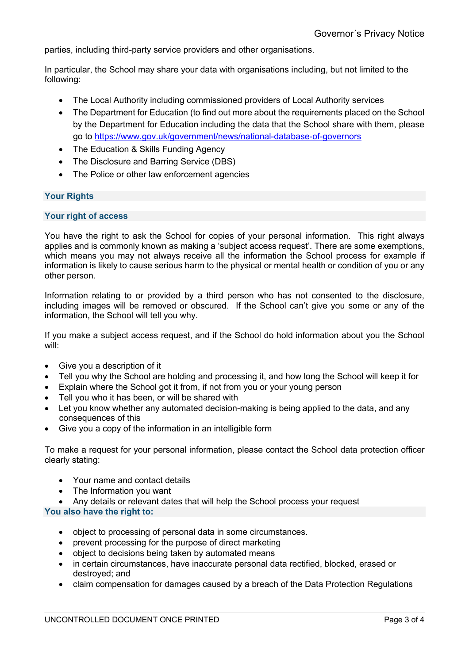parties, including third-party service providers and other organisations.

In particular, the School may share your data with organisations including, but not limited to the following:

- The Local Authority including commissioned providers of Local Authority services
- The Department for Education (to find out more about the requirements placed on the School by the Department for Education including the data that the School share with them, please go to https://www.gov.uk/government/news/national-database-of-governors
- The Education & Skills Funding Agency
- The Disclosure and Barring Service (DBS)
- The Police or other law enforcement agencies

# **Your Rights**

## **Your right of access**

You have the right to ask the School for copies of your personal information. This right always applies and is commonly known as making a 'subject access request'. There are some exemptions, which means you may not always receive all the information the School process for example if information is likely to cause serious harm to the physical or mental health or condition of you or any other person.

Information relating to or provided by a third person who has not consented to the disclosure, including images will be removed or obscured. If the School can't give you some or any of the information, the School will tell you why.

If you make a subject access request, and if the School do hold information about you the School will:

- Give you a description of it
- Tell you why the School are holding and processing it, and how long the School will keep it for
- Explain where the School got it from, if not from you or your young person
- Tell you who it has been, or will be shared with
- Let you know whether any automated decision-making is being applied to the data, and any consequences of this
- Give you a copy of the information in an intelligible form

To make a request for your personal information, please contact the School data protection officer clearly stating:

- Your name and contact details
- The Information you want
- Any details or relevant dates that will help the School process your request

#### **You also have the right to:**

- object to processing of personal data in some circumstances.
- prevent processing for the purpose of direct marketing
- object to decisions being taken by automated means
- in certain circumstances, have inaccurate personal data rectified, blocked, erased or destroyed; and
- claim compensation for damages caused by a breach of the Data Protection Regulations